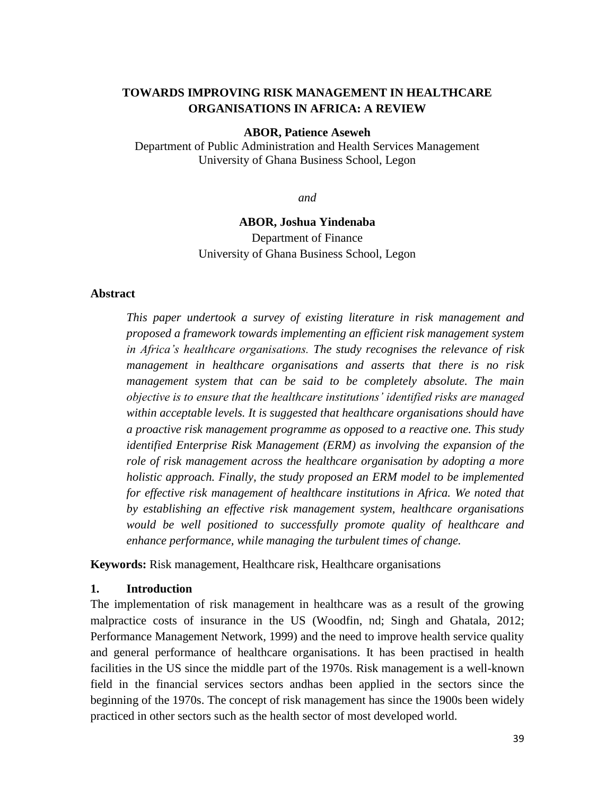## **TOWARDS IMPROVING RISK MANAGEMENT IN HEALTHCARE ORGANISATIONS IN AFRICA: A REVIEW**

#### **ABOR, Patience Aseweh**

Department of Public Administration and Health Services Management University of Ghana Business School, Legon

*and* 

### **ABOR, Joshua Yindenaba**

Department of Finance University of Ghana Business School, Legon

#### **Abstract**

*This paper undertook a survey of existing literature in risk management and proposed a framework towards implementing an efficient risk management system in Africa's healthcare organisations. The study recognises the relevance of risk management in healthcare organisations and asserts that there is no risk management system that can be said to be completely absolute. The main objective is to ensure that the healthcare institutions' identified risks are managed within acceptable levels. It is suggested that healthcare organisations should have a proactive risk management programme as opposed to a reactive one. This study identified Enterprise Risk Management (ERM) as involving the expansion of the role of risk management across the healthcare organisation by adopting a more holistic approach. Finally, the study proposed an ERM model to be implemented for effective risk management of healthcare institutions in Africa. We noted that by establishing an effective risk management system, healthcare organisations would be well positioned to successfully promote quality of healthcare and enhance performance, while managing the turbulent times of change.* 

**Keywords:** Risk management, Healthcare risk, Healthcare organisations

### **1. Introduction**

The implementation of risk management in healthcare was as a result of the growing malpractice costs of insurance in the US (Woodfin, nd; Singh and Ghatala, 2012; Performance Management Network, 1999) and the need to improve health service quality and general performance of healthcare organisations. It has been practised in health facilities in the US since the middle part of the 1970s. Risk management is a well-known field in the financial services sectors andhas been applied in the sectors since the beginning of the 1970s. The concept of risk management has since the 1900s been widely practiced in other sectors such as the health sector of most developed world.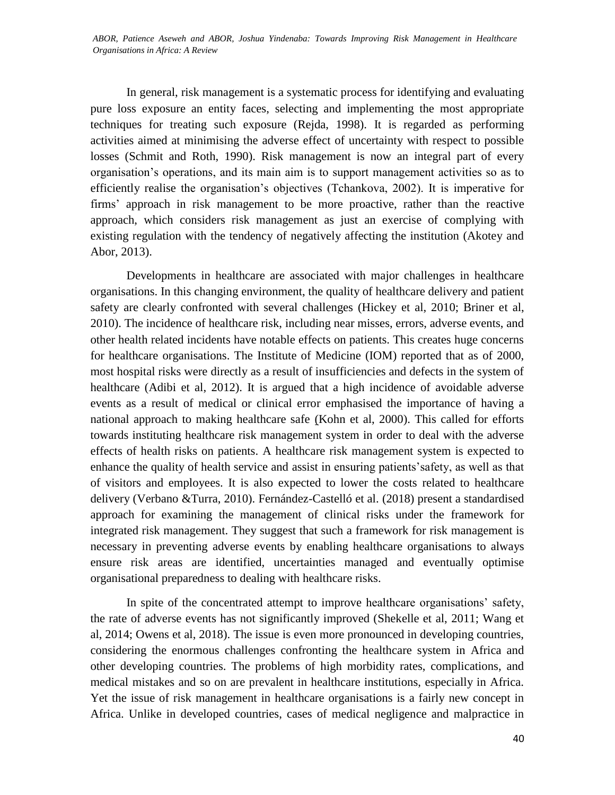*LALA, Fredrick, NDINYA, Amin, OGADA, Mauric,; CHEPKULEI, Bellah, APOLLO, Florence, MSINGA, Stephen and ABOR, Patience Aseweh and ABOR, Joshua Yindenaba: Towards Improving Risk Management in Healthcare MOHAMMED, Mariam: Perception of Gemba Kaizen's Upper Management Commitment Principle on Employee Organisations in Africa: A Review*

In general, risk management is a systematic process for identifying and evaluating pure loss exposure an entity faces, selecting and implementing the most appropriate techniques for treating such exposure (Rejda, 1998). It is regarded as performing activities aimed at minimising the adverse effect of uncertainty with respect to possible losses (Schmit and Roth, 1990). Risk management is now an integral part of every organisation's operations, and its main aim is to support management activities so as to efficiently realise the organisation's objectives (Tchankova, 2002). It is imperative for firms' approach in risk management to be more proactive, rather than the reactive approach, which considers risk management as just an exercise of complying with existing regulation with the tendency of negatively affecting the institution (Akotey and Abor, 2013).

Developments in healthcare are associated with major challenges in healthcare organisations. In this changing environment, the quality of healthcare delivery and patient safety are clearly confronted with several challenges (Hickey et al, 2010; Briner et al, 2010). The incidence of healthcare risk, including near misses, errors, adverse events, and other health related incidents have notable effects on patients. This creates huge concerns for healthcare organisations. The Institute of Medicine (IOM) reported that as of 2000, most hospital risks were directly as a result of insufficiencies and defects in the system of healthcare (Adibi et al, 2012). It is argued that a high incidence of avoidable adverse events as a result of medical or clinical error emphasised the importance of having a national approach to making healthcare safe (Kohn et al, 2000). This called for efforts towards instituting healthcare risk management system in order to deal with the adverse effects of health risks on patients. A healthcare risk management system is expected to enhance the quality of health service and assist in ensuring patients'safety, as well as that of visitors and employees. It is also expected to lower the costs related to healthcare delivery (Verbano &Turra, 2010). Fernández-Castelló et al. (2018) present a standardised approach for examining the management of clinical risks under the framework for integrated risk management. They suggest that such a framework for risk management is necessary in preventing adverse events by enabling healthcare organisations to always ensure risk areas are identified, uncertainties managed and eventually optimise organisational preparedness to dealing with healthcare risks.

In spite of the concentrated attempt to improve healthcare organisations' safety, the rate of adverse events has not significantly improved (Shekelle et al, 2011; Wang et al, 2014; Owens et al, 2018). The issue is even more pronounced in developing countries, considering the enormous challenges confronting the healthcare system in Africa and other developing countries. The problems of high morbidity rates, complications, and medical mistakes and so on are prevalent in healthcare institutions, especially in Africa. Yet the issue of risk management in healthcare organisations is a fairly new concept in Africa. Unlike in developed countries, cases of medical negligence and malpractice in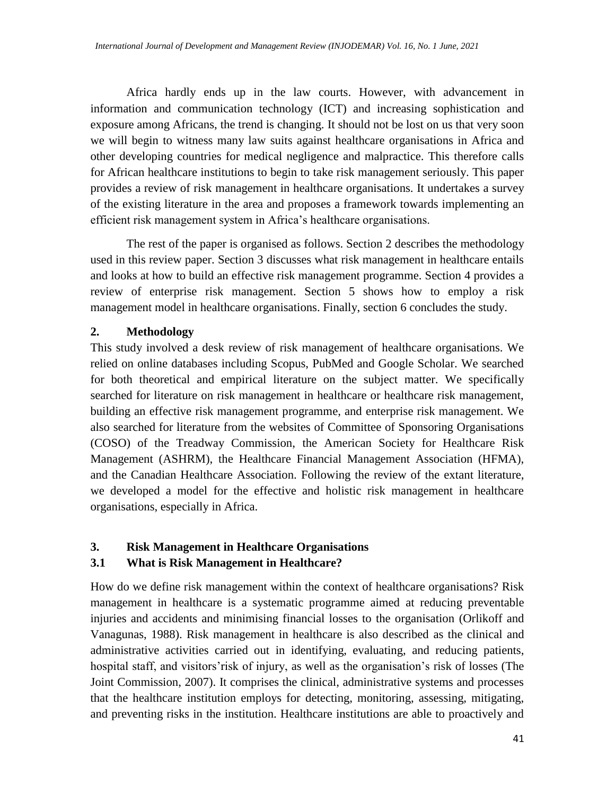Africa hardly ends up in the law courts. However, with advancement in information and communication technology (ICT) and increasing sophistication and exposure among Africans, the trend is changing. It should not be lost on us that very soon we will begin to witness many law suits against healthcare organisations in Africa and other developing countries for medical negligence and malpractice. This therefore calls for African healthcare institutions to begin to take risk management seriously. This paper provides a review of risk management in healthcare organisations. It undertakes a survey of the existing literature in the area and proposes a framework towards implementing an efficient risk management system in Africa's healthcare organisations.

The rest of the paper is organised as follows. Section 2 describes the methodology used in this review paper. Section 3 discusses what risk management in healthcare entails and looks at how to build an effective risk management programme. Section 4 provides a review of enterprise risk management. Section 5 shows how to employ a risk management model in healthcare organisations. Finally, section 6 concludes the study.

# **2. Methodology**

This study involved a desk review of risk management of healthcare organisations. We relied on online databases including Scopus, PubMed and Google Scholar. We searched for both theoretical and empirical literature on the subject matter. We specifically searched for literature on risk management in healthcare or healthcare risk management, building an effective risk management programme, and enterprise risk management. We also searched for literature from the websites of Committee of Sponsoring Organisations (COSO) of the Treadway Commission, the American Society for Healthcare Risk Management (ASHRM), the Healthcare Financial Management Association (HFMA), and the Canadian Healthcare Association. Following the review of the extant literature, we developed a model for the effective and holistic risk management in healthcare organisations, especially in Africa.

# **3. Risk Management in Healthcare Organisations**

# **3.1 What is Risk Management in Healthcare?**

How do we define risk management within the context of healthcare organisations? Risk management in healthcare is a systematic programme aimed at reducing preventable injuries and accidents and minimising financial losses to the organisation (Orlikoff and Vanagunas, 1988). Risk management in healthcare is also described as the clinical and administrative activities carried out in identifying, evaluating, and reducing patients, hospital staff, and visitors'risk of injury, as well as the organisation's risk of losses (The Joint Commission, 2007). It comprises the clinical, administrative systems and processes that the healthcare institution employs for detecting, monitoring, assessing, mitigating, and preventing risks in the institution. Healthcare institutions are able to proactively and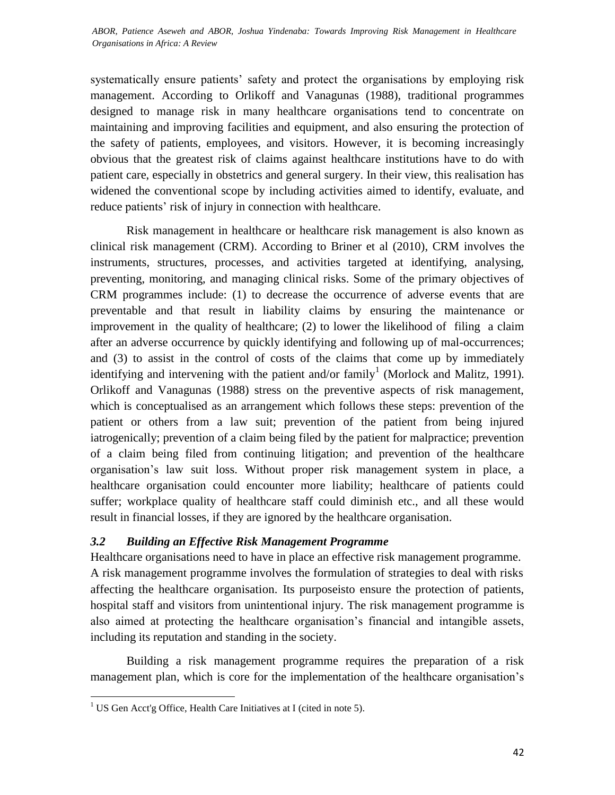systematically ensure patients' safety and protect the organisations by employing risk management. According to Orlikoff and Vanagunas (1988), traditional programmes designed to manage risk in many healthcare organisations tend to concentrate on maintaining and improving facilities and equipment, and also ensuring the protection of the safety of patients, employees, and visitors. However, it is becoming increasingly obvious that the greatest risk of claims against healthcare institutions have to do with patient care, especially in obstetrics and general surgery. In their view, this realisation has widened the conventional scope by including activities aimed to identify, evaluate, and reduce patients' risk of injury in connection with healthcare.

Risk management in healthcare or healthcare risk management is also known as clinical risk management (CRM). According to Briner et al (2010), CRM involves the instruments, structures, processes, and activities targeted at identifying, analysing, preventing, monitoring, and managing clinical risks. Some of the primary objectives of CRM programmes include: (1) to decrease the occurrence of adverse events that are preventable and that result in liability claims by ensuring the maintenance or improvement in the quality of healthcare; (2) to lower the likelihood of filing a claim after an adverse occurrence by quickly identifying and following up of mal-occurrences; and (3) to assist in the control of costs of the claims that come up by immediately identifying and intervening with the patient and/or family<sup>1</sup> (Morlock and Malitz, 1991). Orlikoff and Vanagunas (1988) stress on the preventive aspects of risk management, which is conceptualised as an arrangement which follows these steps: prevention of the patient or others from a law suit; prevention of the patient from being injured iatrogenically; prevention of a claim being filed by the patient for malpractice; prevention of a claim being filed from continuing litigation; and prevention of the healthcare organisation's law suit loss. Without proper risk management system in place, a healthcare organisation could encounter more liability; healthcare of patients could suffer; workplace quality of healthcare staff could diminish etc., and all these would result in financial losses, if they are ignored by the healthcare organisation.

## *3.2 Building an Effective Risk Management Programme*

Healthcare organisations need to have in place an effective risk management programme. A risk management programme involves the formulation of strategies to deal with risks affecting the healthcare organisation. Its purposeisto ensure the protection of patients, hospital staff and visitors from unintentional injury. The risk management programme is also aimed at protecting the healthcare organisation's financial and intangible assets, including its reputation and standing in the society.

Building a risk management programme requires the preparation of a risk management plan, which is core for the implementation of the healthcare organisation's

 $\overline{\phantom{a}}$ <sup>1</sup> US Gen Acct'g Office, Health Care Initiatives at I (cited in note 5).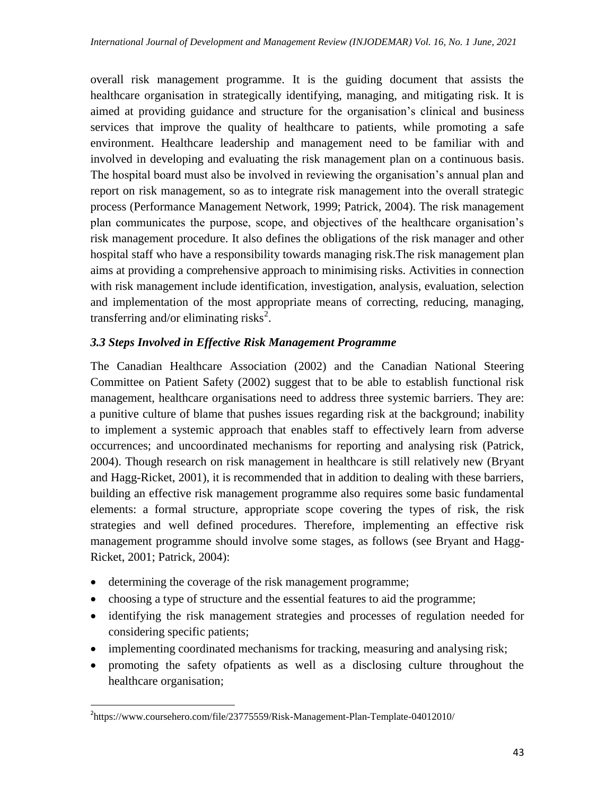overall risk management programme. It is the guiding document that assists the healthcare organisation in strategically identifying, managing, and mitigating risk. It is aimed at providing guidance and structure for the organisation's clinical and business services that improve the quality of healthcare to patients, while promoting a safe environment. Healthcare leadership and management need to be familiar with and involved in developing and evaluating the risk management plan on a continuous basis. The hospital board must also be involved in reviewing the organisation's annual plan and report on risk management, so as to integrate risk management into the overall strategic process (Performance Management Network, 1999; Patrick, 2004). The risk management plan communicates the purpose, scope, and objectives of the healthcare organisation's risk management procedure. It also defines the obligations of the risk manager and other hospital staff who have a responsibility towards managing risk.The risk management plan aims at providing a comprehensive approach to minimising risks. Activities in connection with risk management include identification, investigation, analysis, evaluation, selection and implementation of the most appropriate means of correcting, reducing, managing, transferring and/or eliminating risks<sup>2</sup>.

## *3.3 Steps Involved in Effective Risk Management Programme*

The Canadian Healthcare Association (2002) and the Canadian National Steering Committee on Patient Safety (2002) suggest that to be able to establish functional risk management, healthcare organisations need to address three systemic barriers. They are: a punitive culture of blame that pushes issues regarding risk at the background; inability to implement a systemic approach that enables staff to effectively learn from adverse occurrences; and uncoordinated mechanisms for reporting and analysing risk (Patrick, 2004). Though research on risk management in healthcare is still relatively new (Bryant and Hagg-Ricket, 2001), it is recommended that in addition to dealing with these barriers, building an effective risk management programme also requires some basic fundamental elements: a formal structure, appropriate scope covering the types of risk, the risk strategies and well defined procedures. Therefore, implementing an effective risk management programme should involve some stages, as follows (see Bryant and Hagg-Ricket, 2001; Patrick, 2004):

determining the coverage of the risk management programme;

 $\overline{\phantom{a}}$ 

- choosing a type of structure and the essential features to aid the programme;
- identifying the risk management strategies and processes of regulation needed for considering specific patients;
- implementing coordinated mechanisms for tracking, measuring and analysing risk;
- promoting the safety ofpatients as well as a disclosing culture throughout the healthcare organisation;

<sup>&</sup>lt;sup>2</sup>https://www.coursehero.com/file/23775559/Risk-Management-Plan-Template-04012010/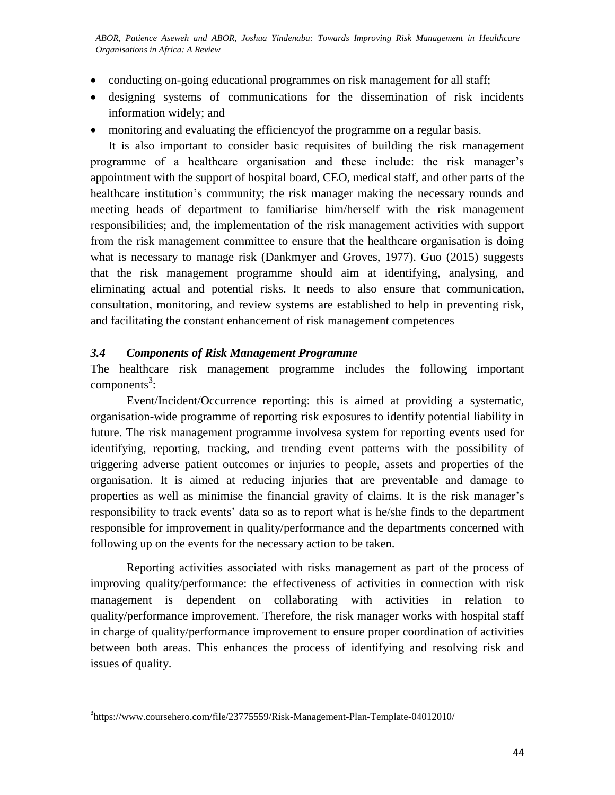ABOR, Patience Aseweh and ABOR, Joshua Yindenaba: Towards Improving Risk Management in Healthcare *Organisations in Africa: A Review*

- conducting on-going educational programmes on risk management for all staff;
- designing systems of communications for the dissemination of risk incidents information widely; and
- monitoring and evaluating the efficiencyof the programme on a regular basis.

It is also important to consider basic requisites of building the risk management programme of a healthcare organisation and these include: the risk manager's appointment with the support of hospital board, CEO, medical staff, and other parts of the healthcare institution's community; the risk manager making the necessary rounds and meeting heads of department to familiarise him/herself with the risk management responsibilities; and, the implementation of the risk management activities with support from the risk management committee to ensure that the healthcare organisation is doing what is necessary to manage risk (Dankmyer and Groves, 1977). Guo (2015) suggests that the risk management programme should aim at identifying, analysing, and eliminating actual and potential risks. It needs to also ensure that communication, consultation, monitoring, and review systems are established to help in preventing risk, and facilitating the constant enhancement of risk management competences

### *3.4 Components of Risk Management Programme*

The healthcare risk management programme includes the following important  $components<sup>3</sup>$ :

Event/Incident/Occurrence reporting: this is aimed at providing a systematic, organisation-wide programme of reporting risk exposures to identify potential liability in future. The risk management programme involvesa system for reporting events used for identifying, reporting, tracking, and trending event patterns with the possibility of triggering adverse patient outcomes or injuries to people, assets and properties of the organisation. It is aimed at reducing injuries that are preventable and damage to properties as well as minimise the financial gravity of claims. It is the risk manager's responsibility to track events' data so as to report what is he/she finds to the department responsible for improvement in quality/performance and the departments concerned with following up on the events for the necessary action to be taken.

Reporting activities associated with risks management as part of the process of improving quality/performance: the effectiveness of activities in connection with risk management is dependent on collaborating with activities in relation to quality/performance improvement. Therefore, the risk manager works with hospital staff in charge of quality/performance improvement to ensure proper coordination of activities between both areas. This enhances the process of identifying and resolving risk and issues of quality.

 $\overline{\phantom{a}}$ 

<sup>&</sup>lt;sup>3</sup>https://www.coursehero.com/file/23775559/Risk-Management-Plan-Template-04012010/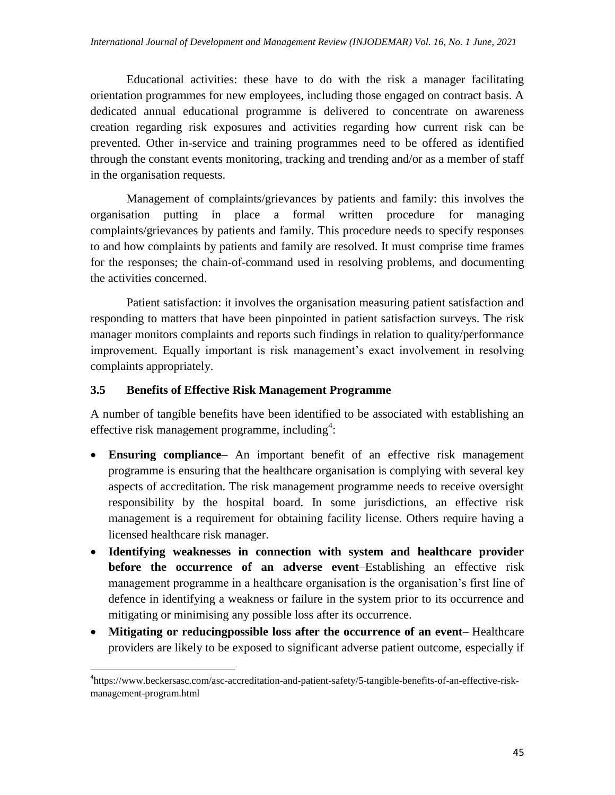Educational activities: these have to do with the risk a manager facilitating orientation programmes for new employees, including those engaged on contract basis. A dedicated annual educational programme is delivered to concentrate on awareness creation regarding risk exposures and activities regarding how current risk can be prevented. Other in-service and training programmes need to be offered as identified through the constant events monitoring, tracking and trending and/or as a member of staff in the organisation requests.

Management of complaints/grievances by patients and family: this involves the organisation putting in place a formal written procedure for managing complaints/grievances by patients and family. This procedure needs to specify responses to and how complaints by patients and family are resolved. It must comprise time frames for the responses; the chain-of-command used in resolving problems, and documenting the activities concerned.

Patient satisfaction: it involves the organisation measuring patient satisfaction and responding to matters that have been pinpointed in patient satisfaction surveys. The risk manager monitors complaints and reports such findings in relation to quality/performance improvement. Equally important is risk management's exact involvement in resolving complaints appropriately.

### **3.5 Benefits of Effective Risk Management Programme**

 $\overline{\phantom{a}}$ 

A number of tangible benefits have been identified to be associated with establishing an effective risk management programme, including<sup>4</sup>:

- **Ensuring compliance** An important benefit of an effective risk management programme is ensuring that the healthcare organisation is complying with several key aspects of accreditation. The risk management programme needs to receive oversight responsibility by the hospital board. In some jurisdictions, an effective risk management is a requirement for obtaining facility license. Others require having a licensed healthcare risk manager.
- **Identifying weaknesses in connection with system and healthcare provider before the occurrence of an adverse event**–Establishing an effective risk management programme in a healthcare organisation is the organisation's first line of defence in identifying a weakness or failure in the system prior to its occurrence and mitigating or minimising any possible loss after its occurrence.
- **Mitigating or reducingpossible loss after the occurrence of an event** Healthcare providers are likely to be exposed to significant adverse patient outcome, especially if

<sup>&</sup>lt;sup>4</sup>https://www.beckersasc.com/asc-accreditation-and-patient-safety/5-tangible-benefits-of-an-effective-riskmanagement-program.html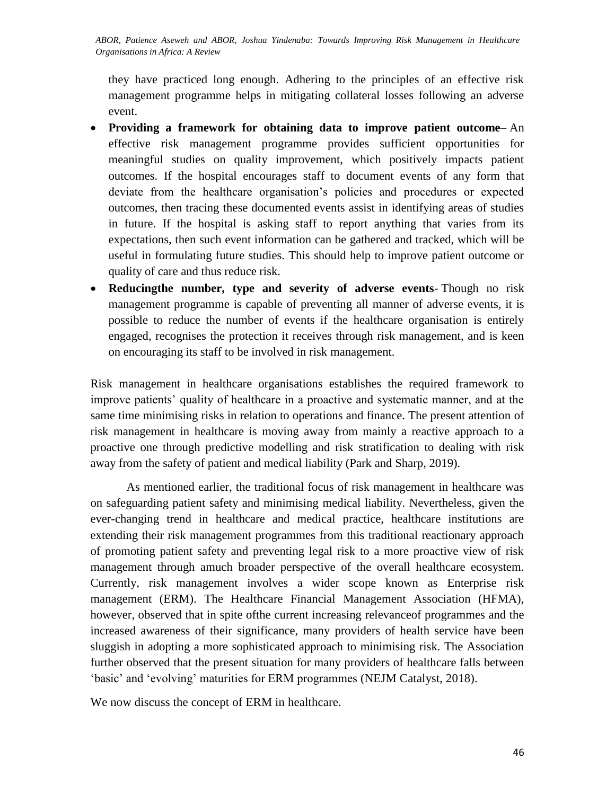*International Journal of Development and Management Review (INJODEMAR) Vol. 16, No. 1 June, 2021 ABOR, Patience Aseweh and ABOR, Joshua Yindenaba: Towards Improving Risk Management in Healthcare Organisations in Africa: A Review*

they have practiced long enough. Adhering to the principles of an effective risk management programme helps in mitigating collateral losses following an adverse event.

- **Providing a framework for obtaining data to improve patient outcome** An effective risk management programme provides sufficient opportunities for meaningful studies on quality improvement, which positively impacts patient outcomes. If the hospital encourages staff to document events of any form that deviate from the healthcare organisation's policies and procedures or expected outcomes, then tracing these documented events assist in identifying areas of studies in future. If the hospital is asking staff to report anything that varies from its expectations, then such event information can be gathered and tracked, which will be useful in formulating future studies. This should help to improve patient outcome or quality of care and thus reduce risk.
- **Reducingthe number, type and severity of adverse events** Though no risk management programme is capable of preventing all manner of adverse events, it is possible to reduce the number of events if the healthcare organisation is entirely engaged, recognises the protection it receives through risk management, and is keen on encouraging its staff to be involved in risk management.

Risk management in healthcare organisations establishes the required framework to improve patients' quality of healthcare in a proactive and systematic manner, and at the same time minimising risks in relation to operations and finance. The present attention of risk management in healthcare is moving away from mainly a reactive approach to a proactive one through predictive modelling and risk stratification to dealing with risk away from the safety of patient and medical liability (Park and Sharp, 2019).

As mentioned earlier, the traditional focus of risk management in healthcare was on safeguarding patient safety and minimising medical liability. Nevertheless, given the ever-changing trend in healthcare and medical practice, healthcare institutions are extending their risk management programmes from this traditional reactionary approach of promoting patient safety and preventing legal risk to a more proactive view of risk management through amuch broader perspective of the overall healthcare ecosystem. Currently, risk management involves a wider scope known as Enterprise risk management (ERM). The Healthcare Financial Management Association (HFMA), however, observed that in spite ofthe current increasing relevanceof programmes and the increased awareness of their significance, many providers of health service have been sluggish in adopting a more sophisticated approach to minimising risk. The Association further observed that the present situation for many providers of healthcare falls between ‗basic' and ‗evolving' maturities for ERM programmes (NEJM Catalyst, 2018).

We now discuss the concept of ERM in healthcare.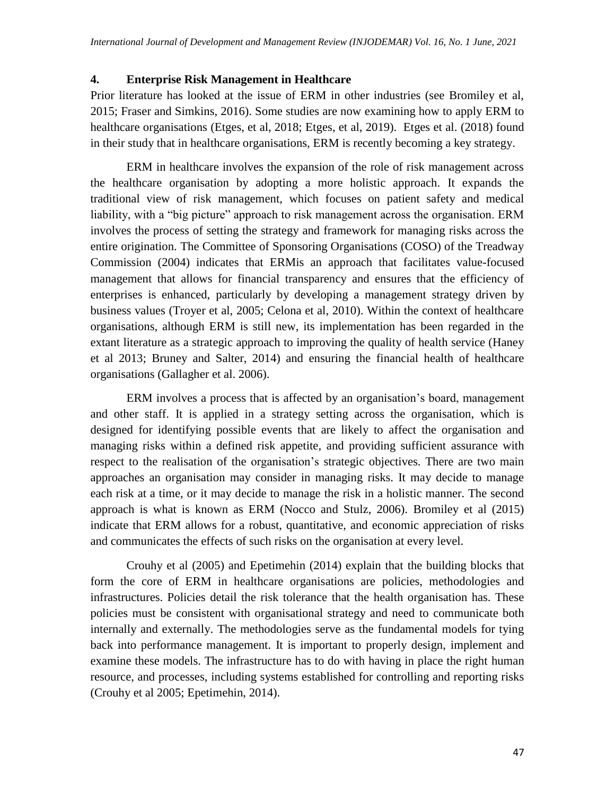## **4. Enterprise Risk Management in Healthcare**

Prior literature has looked at the issue of ERM in other industries (see Bromiley et al, 2015; Fraser and Simkins, 2016). Some studies are now examining how to apply ERM to healthcare organisations (Etges, et al, 2018; Etges, et al, 2019). Etges et al. (2018) found in their study that in healthcare organisations, ERM is recently becoming a key strategy.

ERM in healthcare involves the expansion of the role of risk management across the healthcare organisation by adopting a more holistic approach. It expands the traditional view of risk management, which focuses on patient safety and medical liability, with a "big picture" approach to risk management across the organisation. ERM involves the process of setting the strategy and framework for managing risks across the entire origination. The Committee of Sponsoring Organisations (COSO) of the Treadway Commission (2004) indicates that ERMis an approach that facilitates value-focused management that allows for financial transparency and ensures that the efficiency of enterprises is enhanced, particularly by developing a management strategy driven by business values (Troyer et al, 2005; Celona et al, 2010). Within the context of healthcare organisations, although ERM is still new, its implementation has been regarded in the extant literature as a strategic approach to improving the quality of health service (Haney et al 2013; Bruney and Salter, 2014) and ensuring the financial health of healthcare organisations (Gallagher et al. 2006).

ERM involves a process that is affected by an organisation's board, management and other staff. It is applied in a strategy setting across the organisation, which is designed for identifying possible events that are likely to affect the organisation and managing risks within a defined risk appetite, and providing sufficient assurance with respect to the realisation of the organisation's strategic objectives. There are two main approaches an organisation may consider in managing risks. It may decide to manage each risk at a time, or it may decide to manage the risk in a holistic manner. The second approach is what is known as ERM (Nocco and Stulz, 2006). Bromiley et al (2015) indicate that ERM allows for a robust, quantitative, and economic appreciation of risks and communicates the effects of such risks on the organisation at every level.

Crouhy et al (2005) and Epetimehin (2014) explain that the building blocks that form the core of ERM in healthcare organisations are policies, methodologies and infrastructures. Policies detail the risk tolerance that the health organisation has. These policies must be consistent with organisational strategy and need to communicate both internally and externally. The methodologies serve as the fundamental models for tying back into performance management. It is important to properly design, implement and examine these models. The infrastructure has to do with having in place the right human resource, and processes, including systems established for controlling and reporting risks (Crouhy et al 2005; Epetimehin, 2014).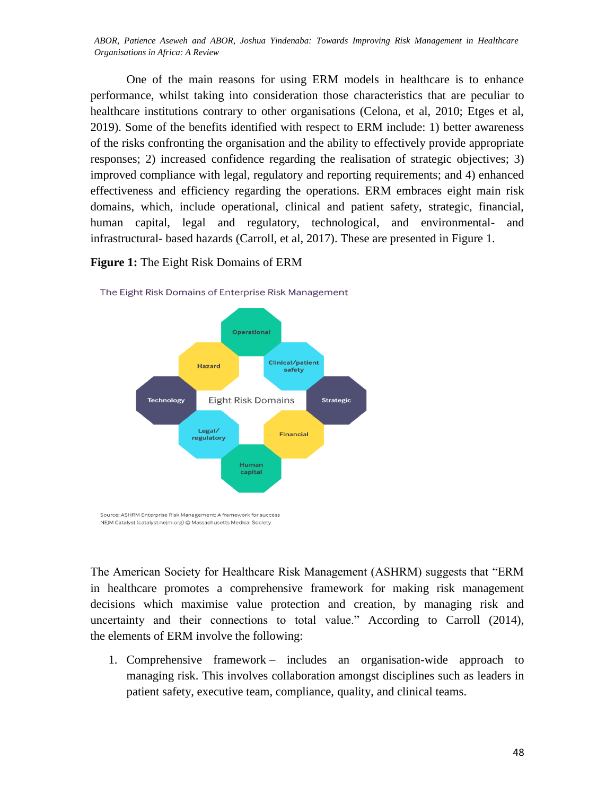ABOR, Patience Aseweh and ABOR, Joshua Yindenaba: Towards Improving Risk Management in Healthcare *Organisations in Africa: A Review*

One of the main reasons for using ERM models in healthcare is to enhance performance, whilst taking into consideration those characteristics that are peculiar to healthcare institutions contrary to other organisations (Celona, et al, 2010; Etges et al, 2019). Some of the benefits identified with respect to ERM include: 1) better awareness of the risks confronting the organisation and the ability to effectively provide appropriate responses; 2) increased confidence regarding the realisation of strategic objectives; 3) improved compliance with legal, regulatory and reporting requirements; and 4) enhanced effectiveness and efficiency regarding the operations. ERM embraces eight main risk domains, which, include operational, clinical and patient safety, strategic, financial, human capital, legal and regulatory, technological, and environmental- and infrastructural- based hazards (Carroll, et al, 2017). These are presented in Figure 1.

#### **Figure 1:** The Eight Risk Domains of ERM

NEJM Catalyst (catalyst.nejm.org) © Massachusetts Medical Society



The Eight Risk Domains of Enterprise Risk Management

The American Society for Healthcare Risk Management (ASHRM) suggests that "ERM in healthcare promotes a comprehensive framework for making risk management decisions which maximise value protection and creation, by managing risk and uncertainty and their connections to total value." According to Carroll (2014), the elements of ERM involve the following:

1. Comprehensive framework – includes an organisation-wide approach to managing risk. This involves collaboration amongst disciplines such as leaders in patient safety, executive team, compliance, quality, and clinical teams.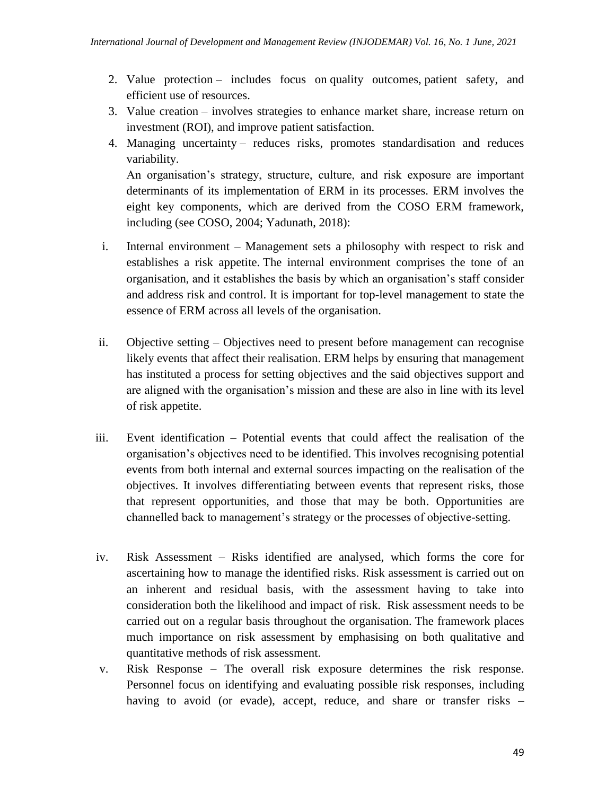- 2. Value protection includes focus on quality outcomes, patient safety, and efficient use of resources.
- 3. Value creation involves strategies to enhance market share, increase return on investment (ROI), and improve patient satisfaction.
- 4. Managing uncertainty reduces risks, promotes standardisation and reduces variability.

An organisation's strategy, structure, culture, and risk exposure are important determinants of its implementation of ERM in its processes. ERM involves the eight key components, which are derived from the COSO ERM framework, including (see COSO, 2004; Yadunath, 2018):

- i. Internal environment Management sets a philosophy with respect to risk and establishes a risk appetite. The internal environment comprises the tone of an organisation, and it establishes the basis by which an organisation's staff consider and address risk and control. It is important for top-level management to state the essence of ERM across all levels of the organisation.
- ii. Objective setting Objectives need to present before management can recognise likely events that affect their realisation. ERM helps by ensuring that management has instituted a process for setting objectives and the said objectives support and are aligned with the organisation's mission and these are also in line with its level of risk appetite.
- iii. Event identification Potential events that could affect the realisation of the organisation's objectives need to be identified. This involves recognising potential events from both internal and external sources impacting on the realisation of the objectives. It involves differentiating between events that represent risks, those that represent opportunities, and those that may be both. Opportunities are channelled back to management's strategy or the processes of objective-setting.
- iv. Risk Assessment Risks identified are analysed, which forms the core for ascertaining how to manage the identified risks. Risk assessment is carried out on an inherent and residual basis, with the assessment having to take into consideration both the likelihood and impact of risk. Risk assessment needs to be carried out on a regular basis throughout the organisation. The framework places much importance on risk assessment by emphasising on both qualitative and quantitative methods of risk assessment.
- v. Risk Response The overall risk exposure determines the risk response. Personnel focus on identifying and evaluating possible risk responses, including having to avoid (or evade), accept, reduce, and share or transfer risks –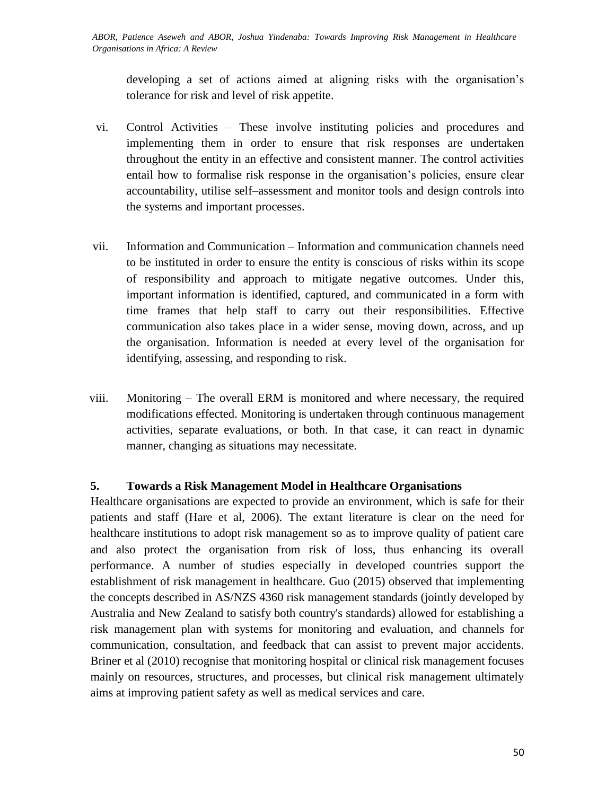developing a set of actions aimed at aligning risks with the organisation's tolerance for risk and level of risk appetite.

- vi. Control Activities These involve instituting policies and procedures and implementing them in order to ensure that risk responses are undertaken throughout the entity in an effective and consistent manner. The control activities entail how to formalise risk response in the organisation's policies, ensure clear accountability, utilise self–assessment and monitor tools and design controls into the systems and important processes.
- vii. Information and Communication Information and communication channels need to be instituted in order to ensure the entity is conscious of risks within its scope of responsibility and approach to mitigate negative outcomes. Under this, important information is identified, captured, and communicated in a form with time frames that help staff to carry out their responsibilities. Effective communication also takes place in a wider sense, moving down, across, and up the organisation. Information is needed at every level of the organisation for identifying, assessing, and responding to risk.
- viii. Monitoring The overall ERM is monitored and where necessary, the required modifications effected. Monitoring is undertaken through continuous management activities, separate evaluations, or both. In that case, it can react in dynamic manner, changing as situations may necessitate.

## **5. Towards a Risk Management Model in Healthcare Organisations**

Healthcare organisations are expected to provide an environment, which is safe for their patients and staff (Hare et al, 2006). The extant literature is clear on the need for healthcare institutions to adopt risk management so as to improve quality of patient care and also protect the organisation from risk of loss, thus enhancing its overall performance. A number of studies especially in developed countries support the establishment of risk management in healthcare. Guo (2015) observed that implementing the concepts described in AS/NZS 4360 risk management standards (jointly developed by Australia and New Zealand to satisfy both country's standards) allowed for establishing a risk management plan with systems for monitoring and evaluation, and channels for communication, consultation, and feedback that can assist to prevent major accidents. Briner et al (2010) recognise that monitoring hospital or clinical risk management focuses mainly on resources, structures, and processes, but clinical risk management ultimately aims at improving patient safety as well as medical services and care.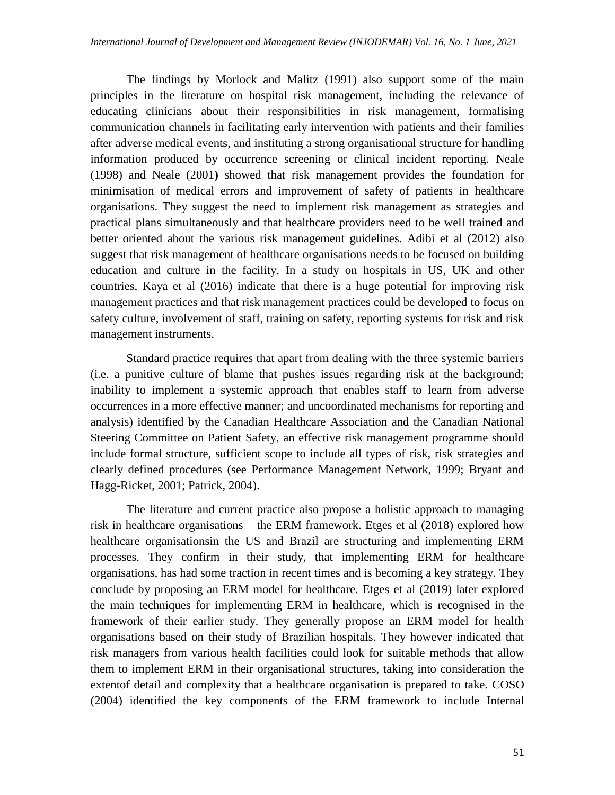The findings by Morlock and Malitz (1991) also support some of the main principles in the literature on hospital risk management, including the relevance of educating clinicians about their responsibilities in risk management, formalising communication channels in facilitating early intervention with patients and their families after adverse medical events, and instituting a strong organisational structure for handling information produced by occurrence screening or clinical incident reporting. Neale (1998) and Neale (2001**)** showed that risk management provides the foundation for minimisation of medical errors and improvement of safety of patients in healthcare organisations. They suggest the need to implement risk management as strategies and practical plans simultaneously and that healthcare providers need to be well trained and better oriented about the various risk management guidelines. Adibi et al (2012) also suggest that risk management of healthcare organisations needs to be focused on building education and culture in the facility. In a study on hospitals in US, UK and other countries, Kaya et al (2016) indicate that there is a huge potential for improving risk management practices and that risk management practices could be developed to focus on safety culture, involvement of staff, training on safety, reporting systems for risk and risk management instruments.

Standard practice requires that apart from dealing with the three systemic barriers (i.e. a punitive culture of blame that pushes issues regarding risk at the background; inability to implement a systemic approach that enables staff to learn from adverse occurrences in a more effective manner; and uncoordinated mechanisms for reporting and analysis) identified by the Canadian Healthcare Association and the Canadian National Steering Committee on Patient Safety, an effective risk management programme should include formal structure, sufficient scope to include all types of risk, risk strategies and clearly defined procedures (see Performance Management Network, 1999; Bryant and Hagg-Ricket, 2001; Patrick, 2004).

The literature and current practice also propose a holistic approach to managing risk in healthcare organisations – the ERM framework. Etges et al (2018) explored how healthcare organisationsin the US and Brazil are structuring and implementing ERM processes. They confirm in their study, that implementing ERM for healthcare organisations, has had some traction in recent times and is becoming a key strategy. They conclude by proposing an ERM model for healthcare. Etges et al (2019) later explored the main techniques for implementing ERM in healthcare, which is recognised in the framework of their earlier study. They generally propose an ERM model for health organisations based on their study of Brazilian hospitals. They however indicated that risk managers from various health facilities could look for suitable methods that allow them to implement ERM in their organisational structures, taking into consideration the extentof detail and complexity that a healthcare organisation is prepared to take. COSO (2004) identified the key components of the ERM framework to include Internal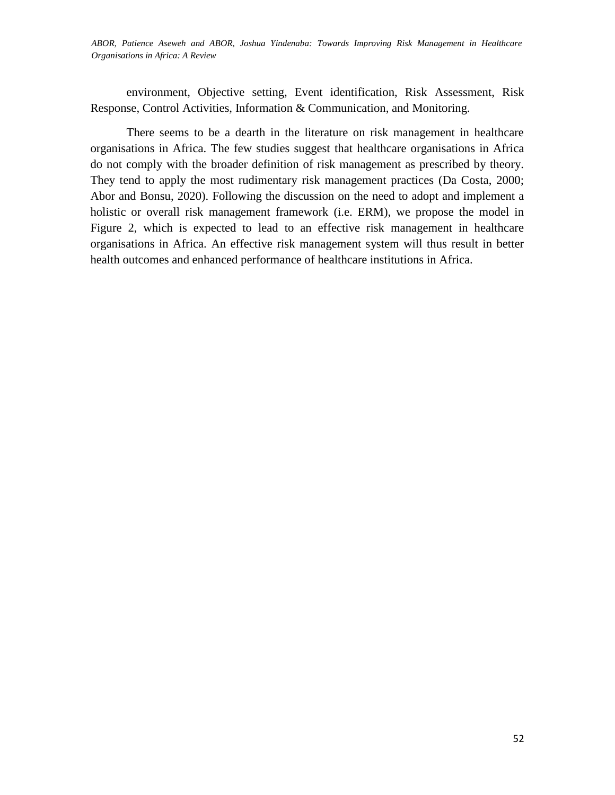*LALA, Fredrick, NDINYA, Amin, OGADA, Mauric,; CHEPKULEI, Bellah, APOLLO, Florence, MSINGA, Stephen and ABOR, Patience Aseweh and ABOR, Joshua Yindenaba: Towards Improving Risk Management in Healthcare Organisations in Africa: A Review* 

environment, Objective setting, Event identification, Risk Assessment, Risk Response, Control Activities, Information & Communication, and Monitoring.

There seems to be a dearth in the literature on risk management in healthcare organisations in Africa. The few studies suggest that healthcare organisations in Africa do not comply with the broader definition of risk management as prescribed by theory. They tend to apply the most rudimentary risk management practices (Da Costa, 2000; Abor and Bonsu, 2020). Following the discussion on the need to adopt and implement a holistic or overall risk management framework (i.e. ERM), we propose the model in Figure 2, which is expected to lead to an effective risk management in healthcare organisations in Africa. An effective risk management system will thus result in better health outcomes and enhanced performance of healthcare institutions in Africa.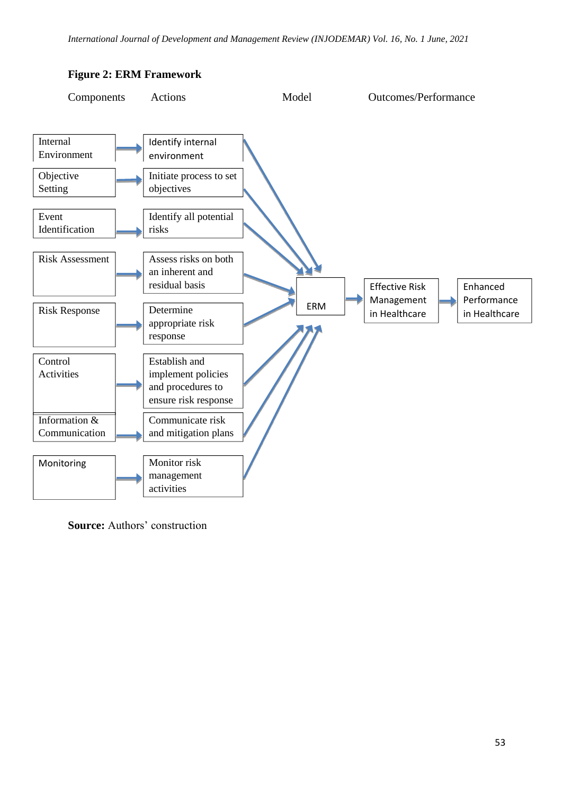

## **Figure 2: ERM Framework**

**Source:** Authors' construction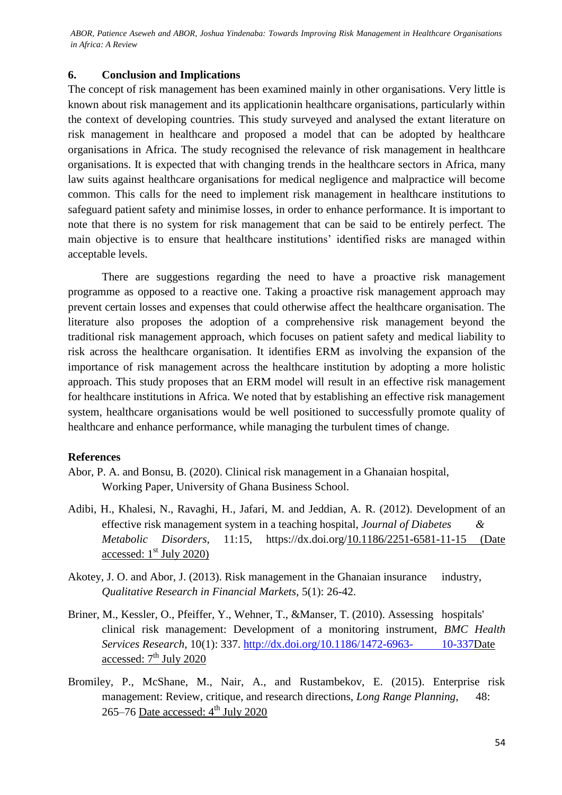ABOR, Patience Aseweh and ABOR, Joshua Yindenaba: Towards Improving Risk Management in Healthcare Organisations *in Africa: A Review*

### **6. Conclusion and Implications**

The concept of risk management has been examined mainly in other organisations. Very little is known about risk management and its applicationin healthcare organisations, particularly within the context of developing countries. This study surveyed and analysed the extant literature on risk management in healthcare and proposed a model that can be adopted by healthcare organisations in Africa. The study recognised the relevance of risk management in healthcare organisations. It is expected that with changing trends in the healthcare sectors in Africa, many law suits against healthcare organisations for medical negligence and malpractice will become common. This calls for the need to implement risk management in healthcare institutions to safeguard patient safety and minimise losses, in order to enhance performance. It is important to note that there is no system for risk management that can be said to be entirely perfect. The main objective is to ensure that healthcare institutions' identified risks are managed within acceptable levels.

There are suggestions regarding the need to have a proactive risk management programme as opposed to a reactive one. Taking a proactive risk management approach may prevent certain losses and expenses that could otherwise affect the healthcare organisation. The literature also proposes the adoption of a comprehensive risk management beyond the traditional risk management approach, which focuses on patient safety and medical liability to risk across the healthcare organisation. It identifies ERM as involving the expansion of the importance of risk management across the healthcare institution by adopting a more holistic approach. This study proposes that an ERM model will result in an effective risk management for healthcare institutions in Africa. We noted that by establishing an effective risk management system, healthcare organisations would be well positioned to successfully promote quality of healthcare and enhance performance, while managing the turbulent times of change.

### **References**

- Abor, P. A. and Bonsu, B. (2020). Clinical risk management in a Ghanaian hospital, Working Paper, University of Ghana Business School.
- Adibi, H., Khalesi, N., Ravaghi, H., Jafari, M. and Jeddian, A. R. (2012). Development of an effective risk management system in a teaching hospital, *Journal of Diabetes & Metabolic Disorders*, 11:15, https://dx.doi.org[/10.1186/2251-6581-11-15](https://dx.doi.org/10.1186%2F2251-6581-11-15) (Date accessed:  $1<sup>st</sup>$  July 2020)
- Akotey, J. O. and Abor, J. (2013). Risk management in the Ghanaian insurance industry, *Qualitative Research in Financial Markets,* 5(1): 26-42.
- Briner, M., Kessler, O., Pfeiffer, Y., Wehner, T., &Manser, T. (2010). Assessing hospitals' clinical risk management: Development of a monitoring instrument, *BMC Health Services Research*, 10(1): 337. [http://dx.doi.org/10.1186/1472-6963-](http://dx.doi.org/10.1186/1472-6963-%0910-337) 10-337Date accessed:  $7<sup>th</sup>$  July 2020
- Bromiley, P., McShane, M., Nair, A., and Rustambekov, E. (2015). Enterprise risk management: Review, critique, and research directions, *Long Range Planning*, 48: 265–76 Date accessed:  $4<sup>th</sup>$  July 2020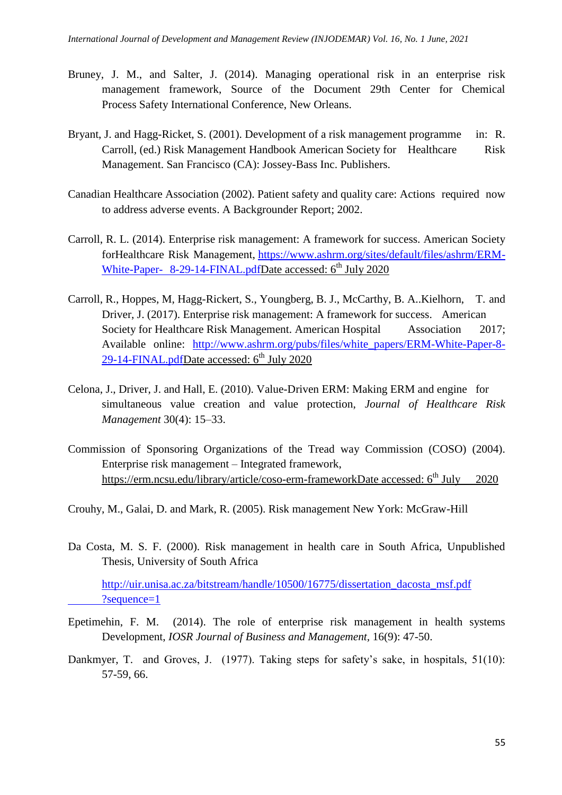- Bruney, J. M., and Salter, J. (2014). Managing operational risk in an enterprise risk management framework, Source of the Document 29th Center for Chemical Process Safety International Conference, New Orleans.
- Bryant, J. and Hagg-Ricket, S. (2001). Development of a risk management programme in: R. Carroll, (ed.) Risk Management Handbook American Society for Healthcare Risk Management. San Francisco (CA): Jossey-Bass Inc. Publishers.
- Canadian Healthcare Association (2002). Patient safety and quality care: Actions required now to address adverse events. A Backgrounder Report; 2002.
- Carroll, R. L. (2014). Enterprise risk management: A framework for success. American Society forHealthcare Risk Management, [https://www.ashrm.org/sites/default/files/ashrm/ERM-](https://www.ashrm.org/sites/default/files/ashrm/ERM-White-Paper-%098-29-14-FINAL.pdf)White-Paper- [8-29-14-FINAL.pdfD](https://www.ashrm.org/sites/default/files/ashrm/ERM-White-Paper-%098-29-14-FINAL.pdf)ate accessed: 6<sup>th</sup> July 2020
- Carroll, R., Hoppes, M, Hagg-Rickert, S., Youngberg, B. J., McCarthy, B. A..Kielhorn, T. and Driver, J. (2017). Enterprise risk management: A framework for success. American Society for Healthcare Risk Management. American Hospital Association 2017; Available online: [http://www.ashrm.org/pubs/files/white\\_papers/ERM-White-Paper-8-](http://www.ashrm.org/pubs/files/white_papers/ERM-White-Paper-8-29-14-%09FINAL.pdf)  $29-14-FINAL.pdf$ Date accessed:  $6<sup>th</sup>$  July 2020
- Celona, J., Driver, J. and Hall, E. (2010). Value-Driven ERM: Making ERM and engine for simultaneous value creation and value protection, *Journal of Healthcare Risk Management* 30(4): 15–33.
- Commission of Sponsoring Organizations of the Tread way Commission (COSO) (2004). Enterprise risk management – Integrated framework, [https://erm.ncsu.edu/library/article/coso-erm-frameworkD](https://erm.ncsu.edu/library/article/coso-erm-framework)ate accessed: 6<sup>th</sup> July 2020
- Crouhy, M., Galai, D. and Mark, R. (2005). Risk management New York: McGraw-Hill
- Da Costa, M. S. F. (2000). Risk management in health care in South Africa, Unpublished Thesis, University of South Africa

[http://uir.unisa.ac.za/bitstream/handle/10500/16775/dissertation\\_dacosta\\_msf.pdf](http://uir.unisa.ac.za/bitstream/handle/10500/16775/dissertation_dacosta_msf.pdf%09?sequence=1) [?sequence=1](http://uir.unisa.ac.za/bitstream/handle/10500/16775/dissertation_dacosta_msf.pdf%09?sequence=1)

- Epetimehin, F. M. (2014). The role of enterprise risk management in health systems Development, *IOSR Journal of Business and Management,* 16(9): 47-50.
- Dankmyer, T. and Groves, J. (1977). Taking steps for safety's sake, in hospitals, 51(10): 57-59, 66.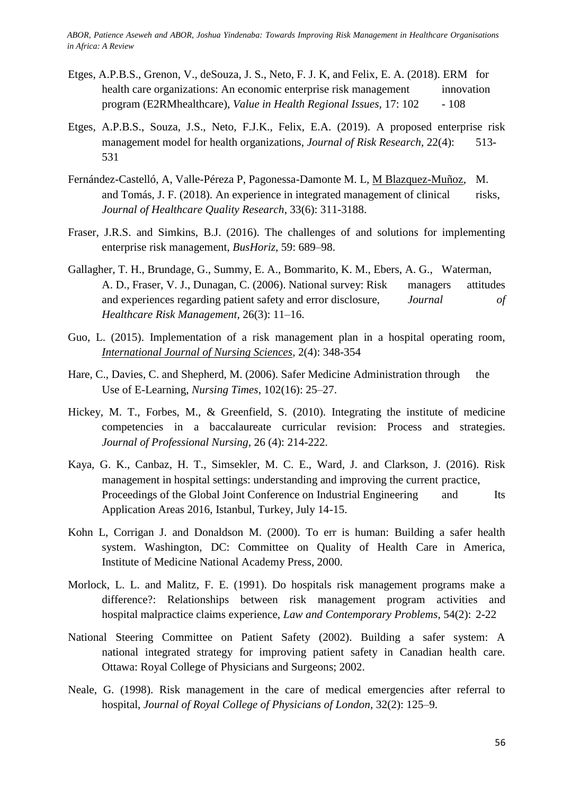ABOR, Patience Aseweh and ABOR, Joshua Yindenaba: Towards Improving Risk Management in Healthcare Organisations *in Africa: A Review*

- Etges, A.P.B.S., Grenon, V., deSouza, J. S., Neto, F. J. K, and Felix, E. A. (2018). ERM for health care organizations: An economic enterprise risk management innovation program (E2RMhealthcare), *Value in Health Regional Issues*, 17: 102 - 108
- Etges, A.P.B.S., Souza, J.S., Neto, F.J.K., Felix, E.A. (2019). A proposed enterprise risk management model for health organizations, *Journal of Risk Research*, 22(4): 513- 531
- Fernández-Castelló, A, Valle-Péreza P, Pagonessa-Damonte M. L, [M Blazquez-Muñoz,](https://pubmed.ncbi.nlm.nih.gov/?term=Blazquez-Mu%C3%B1oz+M&cauthor_id=30501942) M. and Tomás, J. F. (2018). An experience in integrated management of clinical risks, *Journal of Healthcare Quality Research*, 33(6): 311-3188.
- Fraser, J.R.S. and Simkins, B.J. (2016). The challenges of and solutions for implementing enterprise risk management, *BusHoriz,* 59: 689–98.
- Gallagher, T. H., Brundage, G., Summy, E. A., Bommarito, K. M., Ebers, A. G., Waterman, A. D., Fraser, V. J., Dunagan, C. (2006). National survey: Risk managers attitudes and experiences regarding patient safety and error disclosure, *Journal of Healthcare Risk Management,* 26(3): 11–16.
- Guo, L. (2015). Implementation of a risk management plan in a hospital operating room, *[International Journal of Nursing Sciences,](https://www.sciencedirect.com/science/journal/23520132)* 2(4): 348-354
- Hare, C., Davies, C. and Shepherd, M. (2006). Safer Medicine Administration through the Use of E-Learning, *Nursing Times*, 102(16): 25–27.
- Hickey, M. T., Forbes, M., & Greenfield, S. (2010). Integrating the institute of medicine competencies in a baccalaureate curricular revision: Process and strategies. *Journal of Professional Nursing*, 26 (4): 214-222.
- Kaya, G. K., Canbaz, H. T., Simsekler, M. C. E., Ward, J. and Clarkson, J. (2016). Risk management in hospital settings: understanding and improving the current practice, Proceedings of the Global Joint Conference on Industrial Engineering and Its Application Areas 2016, Istanbul, Turkey, July 14-15.
- Kohn L, Corrigan J. and Donaldson M. (2000). To err is human: Building a safer health system. Washington, DC: Committee on Quality of Health Care in America, Institute of Medicine National Academy Press, 2000.
- Morlock, L. L. and Malitz, F. E. (1991). Do hospitals risk management programs make a difference?: Relationships between risk management program activities and hospital malpractice claims experience, *Law and Contemporary Problems*, 54(2): 2-22
- National Steering Committee on Patient Safety (2002). Building a safer system: A national integrated strategy for improving patient safety in Canadian health care. Ottawa: Royal College of Physicians and Surgeons; 2002.
- Neale, G. (1998). Risk management in the care of medical emergencies after referral to hospital, *Journal of Royal College of Physicians of London*, 32(2): 125–9.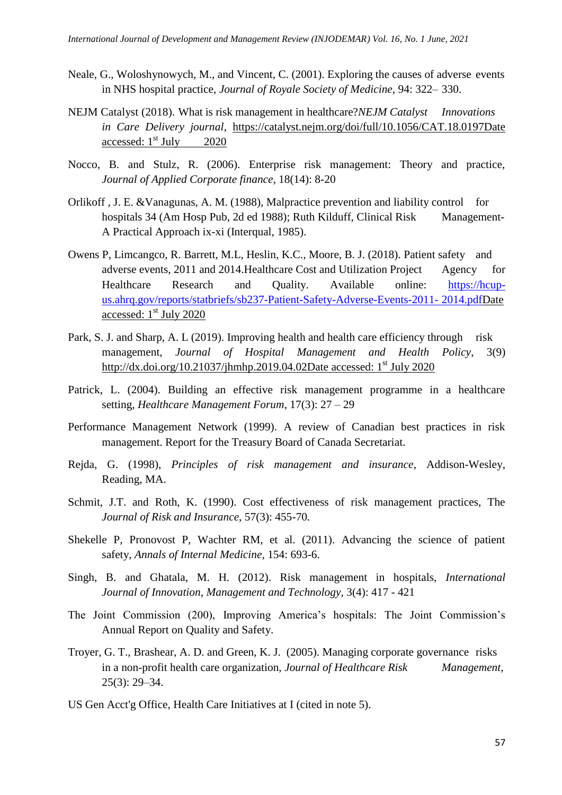- Neale, G., Woloshynowych, M., and Vincent, C. (2001). Exploring the causes of adverse events in NHS hospital practice, *Journal of Royale Society of Medicine*, 94: 322– 330.
- NEJM Catalyst (2018). What is risk management in healthcare?*NEJM Catalyst Innovations in Care Delivery journal*, [https://catalyst.nejm.org/doi/full/10.1056/CAT.18.0197D](https://catalyst.nejm.org/doi/full/10.1056/CAT.18.0197)ate accessed:  $1<sup>st</sup>$  July 2020
- Nocco, B. and Stulz, R. (2006). Enterprise risk management: Theory and practice, *Journal of Applied Corporate finance*, 18(14): 8-20
- Orlikoff , J. E. &Vanagunas, A. M. (1988), Malpractice prevention and liability control for hospitals 34 (Am Hosp Pub, 2d ed 1988); Ruth Kilduff, Clinical Risk Management-A Practical Approach ix-xi (Interqual, 1985).
- Owens P, Limcangco, R. Barrett, M.L, Heslin, K.C., Moore, B. J. (2018). Patient safety and adverse events, 2011 and 2014.Healthcare Cost and Utilization Project Agency for Healthcare Research and Quality. Available online: [https://hcup](https://hcup-us.ahrq.gov/reports/statbriefs/sb237-Patient-Safety-Adverse-Events-2011-%092014.pdf)[us.ahrq.gov/reports/statbriefs/sb237-Patient-Safety-Adverse-Events-2011-](https://hcup-us.ahrq.gov/reports/statbriefs/sb237-Patient-Safety-Adverse-Events-2011-%092014.pdf) 2014.pdfDate accessed:  $1<sup>st</sup>$  July 2020
- Park, S. J. and Sharp, A. L (2019). Improving health and health care efficiency through risk management, *Journal of Hospital Management and Health Policy*, 3(9) [http://dx.doi.org/10.21037/jhmhp.2019.04.02D](http://dx.doi.org/10.21037/jhmhp.2019.04.02)ate accessed:  $1<sup>st</sup>$  July 2020
- Patrick, L. (2004). Building an effective risk management programme in a healthcare setting, *Healthcare Management Forum*, 17(3): 27 – 29
- Performance Management Network (1999). A review of Canadian best practices in risk management. Report for the Treasury Board of Canada Secretariat.
- Rejda, G. (1998), *Principles of risk management and insurance*, Addison-Wesley, Reading, MA.
- Schmit, J.T. and Roth, K. (1990). Cost effectiveness of risk management practices, The *Journal of Risk and Insurance,* 57(3): 455-70*.*
- Shekelle P, Pronovost P, Wachter RM, et al. (2011). Advancing the science of patient safety, *Annals of Internal Medicine,* 154: 693-6.
- Singh, B. and Ghatala, M. H. (2012). Risk management in hospitals, *International Journal of Innovation*, *Management and Technology*, 3(4): 417 - 421
- The Joint Commission (200), Improving America's hospitals: The Joint Commission's Annual Report on Quality and Safety.
- Troyer, G. T., Brashear, A. D. and Green, K. J. (2005). Managing corporate governance risks in a non-profit health care organization, *Journal of Healthcare Risk Management,*  25(3): 29–34.
- US Gen Acct'g Office, Health Care Initiatives at I (cited in note 5).